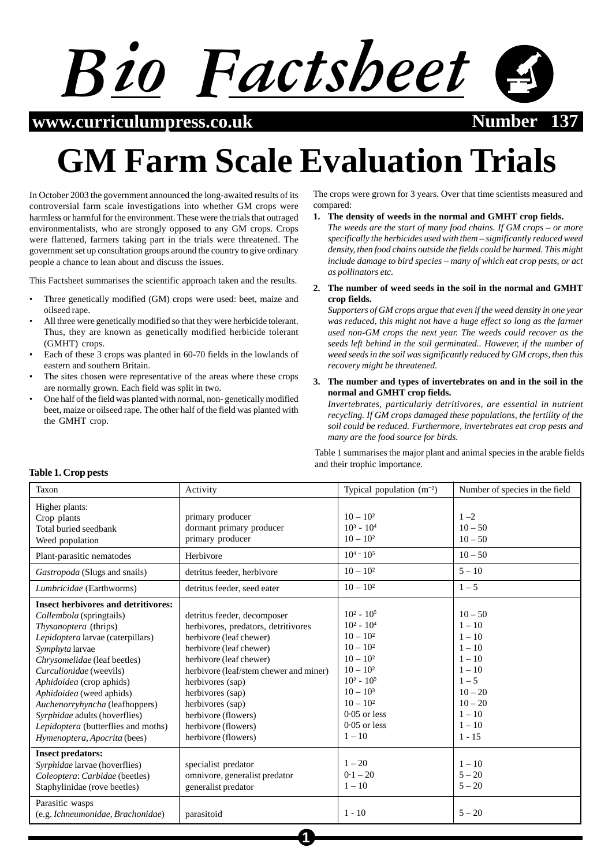

 $www.curriculum press.co.uk$ 

# **GM Farm Scale Evaluation Trials**

In October 2003 the government announced the long-awaited results of its controversial farm scale investigations into whether GM crops were harmless or harmful for the environment. These were the trials that outraged environmentalists, who are strongly opposed to any GM crops. Crops were flattened, farmers taking part in the trials were threatened. The government set up consultation groups around the country to give ordinary people a chance to lean about and discuss the issues.

This Factsheet summarises the scientific approach taken and the results.

- Three genetically modified (GM) crops were used: beet, maize and oilseed rape.
- All three were genetically modified so that they were herbicide tolerant. Thus, they are known as genetically modified herbicide tolerant (GMHT) crops.
- Each of these 3 crops was planted in 60-70 fields in the lowlands of eastern and southern Britain.
- The sites chosen were representative of the areas where these crops are normally grown. Each field was split in two.
- One half of the field was planted with normal, non- genetically modified beet, maize or oilseed rape. The other half of the field was planted with the GMHT crop.

The crops were grown for 3 years. Over that time scientists measured and compared:

- **1. The density of weeds in the normal and GMHT crop fields.**
	- *The weeds are the start of many food chains. If GM crops or more specifically the herbicides used with them – significantly reduced weed density, then food chains outside the fields could be harmed. This might include damage to bird species – many of which eat crop pests, or act as pollinators etc.*
- **2. The number of weed seeds in the soil in the normal and GMHT crop fields.**

*Supporters of GM crops argue that even if the weed density in one year was reduced, this might not have a huge effect so long as the farmer used non-GM crops the next year. The weeds could recover as the seeds left behind in the soil germinated.. However, if the number of weed seeds in the soil was significantly reduced by GM crops, then this recovery might be threatened.*

**3. The number and types of invertebrates on and in the soil in the normal and GMHT crop fields.**

*Invertebrates, particularly detritivores, are essential in nutrient recycling. If GM crops damaged these populations, the fertility of the soil could be reduced. Furthermore, invertebrates eat crop pests and many are the food source for birds.*

Table 1 summarises the major plant and animal species in the arable fields and their trophic importance.

| Taxon                                                                                                                                                                                                                                                                                                                                                                                                                | Activity                                                                                                                                                                                                                                                                                                                       | Typical population $(m^{-2})$                                                                                                                                                            | Number of species in the field                                                                                                                 |
|----------------------------------------------------------------------------------------------------------------------------------------------------------------------------------------------------------------------------------------------------------------------------------------------------------------------------------------------------------------------------------------------------------------------|--------------------------------------------------------------------------------------------------------------------------------------------------------------------------------------------------------------------------------------------------------------------------------------------------------------------------------|------------------------------------------------------------------------------------------------------------------------------------------------------------------------------------------|------------------------------------------------------------------------------------------------------------------------------------------------|
| Higher plants:<br>Crop plants<br>Total buried seedbank<br>Weed population                                                                                                                                                                                                                                                                                                                                            | primary producer<br>dormant primary producer<br>primary producer                                                                                                                                                                                                                                                               | $10 - 10^{2}$<br>$10^3 - 10^4$<br>$10 - 10^2$                                                                                                                                            | $1 - 2$<br>$10 - 50$<br>$10 - 50$                                                                                                              |
| Plant-parasitic nematodes                                                                                                                                                                                                                                                                                                                                                                                            | Herbivore                                                                                                                                                                                                                                                                                                                      | $10^{4} - 10^{5}$                                                                                                                                                                        | $10 - 50$                                                                                                                                      |
| Gastropoda (Slugs and snails)                                                                                                                                                                                                                                                                                                                                                                                        | detritus feeder, herbivore                                                                                                                                                                                                                                                                                                     | $10 - 10^2$                                                                                                                                                                              | $5 - 10$                                                                                                                                       |
| Lumbricidae (Earthworms)                                                                                                                                                                                                                                                                                                                                                                                             | detritus feeder, seed eater                                                                                                                                                                                                                                                                                                    | $10 - 10^2$                                                                                                                                                                              | $1 - 5$                                                                                                                                        |
| <b>Insect herbivores and detritivores:</b><br>Collembola (springtails)<br>Thysanoptera (thrips)<br>Lepidoptera larvae (caterpillars)<br>Symphyta larvae<br>Chrysomelidae (leaf beetles)<br>Curculionidae (weevils)<br>Aphidoidea (crop aphids)<br>Aphidoidea (weed aphids)<br>Auchenorryhyncha (leafhoppers)<br>Syrphidae adults (hoverflies)<br>Lepidoptera (butterflies and moths)<br>Hymenoptera, Apocrita (bees) | detritus feeder, decomposer<br>herbivores, predators, detritivores<br>herbivore (leaf chewer)<br>herbivore (leaf chewer)<br>herbivore (leaf chewer)<br>herbivore (leaf/stem chewer and miner)<br>herbivores (sap)<br>herbivores (sap)<br>herbivores (sap)<br>herbivore (flowers)<br>herbivore (flowers)<br>herbivore (flowers) | $10^2 - 10^5$<br>$10^2 - 10^4$<br>$10 - 10^2$<br>$10 - 10^2$<br>$10 - 10^2$<br>$10 - 10^2$<br>$10^2 - 10^5$<br>$10 - 103$<br>$10 - 10^2$<br>$0.05$ or less<br>$0.05$ or less<br>$1 - 10$ | $10 - 50$<br>$1 - 10$<br>$1 - 10$<br>$1 - 10$<br>$1 - 10$<br>$1 - 10$<br>$1 - 5$<br>$10 - 20$<br>$10 - 20$<br>$1 - 10$<br>$1 - 10$<br>$1 - 15$ |
| <b>Insect predators:</b><br>Syrphidae larvae (hoverflies)<br>Coleoptera: Carbidae (beetles)<br>Staphylinidae (rove beetles)                                                                                                                                                                                                                                                                                          | specialist predator<br>omnivore, generalist predator<br>generalist predator                                                                                                                                                                                                                                                    | $1 - 20$<br>$0.1 - 20$<br>$1 - 10$                                                                                                                                                       | $1 - 10$<br>$5 - 20$<br>$5 - 20$                                                                                                               |
| Parasitic wasps<br>(e.g. Ichneumonidae, Brachonidae)                                                                                                                                                                                                                                                                                                                                                                 | parasitoid                                                                                                                                                                                                                                                                                                                     | $1 - 10$                                                                                                                                                                                 | $5 - 20$                                                                                                                                       |

**1**

## **Table 1. Crop pests**